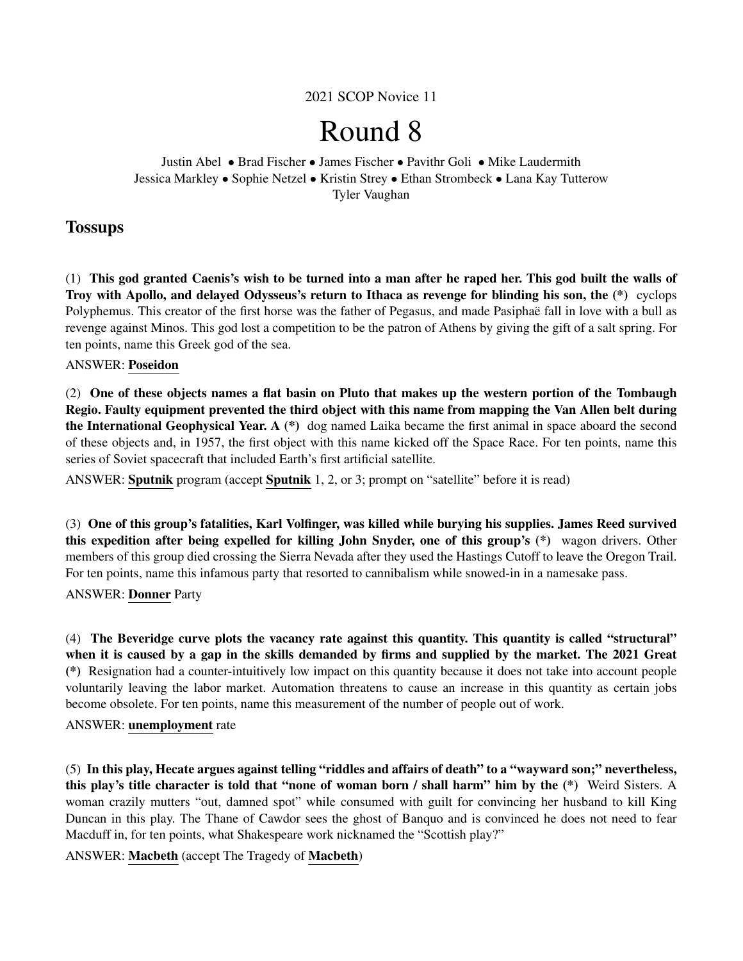2021 SCOP Novice 11

# Round 8

Justin Abel • Brad Fischer • James Fischer • Pavithr Goli • Mike Laudermith Jessica Markley • Sophie Netzel • Kristin Strey • Ethan Strombeck • Lana Kay Tutterow Tyler Vaughan

## **Tossups**

(1) This god granted Caenis's wish to be turned into a man after he raped her. This god built the walls of Troy with Apollo, and delayed Odysseus's return to Ithaca as revenge for blinding his son, the (\*) cyclops Polyphemus. This creator of the first horse was the father of Pegasus, and made Pasiphaë fall in love with a bull as revenge against Minos. This god lost a competition to be the patron of Athens by giving the gift of a salt spring. For ten points, name this Greek god of the sea.

## ANSWER: Poseidon

(2) One of these objects names a flat basin on Pluto that makes up the western portion of the Tombaugh Regio. Faulty equipment prevented the third object with this name from mapping the Van Allen belt during the International Geophysical Year. A (\*) dog named Laika became the first animal in space aboard the second of these objects and, in 1957, the first object with this name kicked off the Space Race. For ten points, name this series of Soviet spacecraft that included Earth's first artificial satellite.

ANSWER: Sputnik program (accept Sputnik 1, 2, or 3; prompt on "satellite" before it is read)

(3) One of this group's fatalities, Karl Volfinger, was killed while burying his supplies. James Reed survived this expedition after being expelled for killing John Snyder, one of this group's (\*) wagon drivers. Other members of this group died crossing the Sierra Nevada after they used the Hastings Cutoff to leave the Oregon Trail. For ten points, name this infamous party that resorted to cannibalism while snowed-in in a namesake pass.

## ANSWER: Donner Party

(4) The Beveridge curve plots the vacancy rate against this quantity. This quantity is called "structural" when it is caused by a gap in the skills demanded by firms and supplied by the market. The 2021 Great (\*) Resignation had a counter-intuitively low impact on this quantity because it does not take into account people voluntarily leaving the labor market. Automation threatens to cause an increase in this quantity as certain jobs become obsolete. For ten points, name this measurement of the number of people out of work.

#### ANSWER: unemployment rate

(5) In this play, Hecate argues against telling "riddles and affairs of death" to a "wayward son;" nevertheless, this play's title character is told that "none of woman born / shall harm" him by the (\*) Weird Sisters. A woman crazily mutters "out, damned spot" while consumed with guilt for convincing her husband to kill King Duncan in this play. The Thane of Cawdor sees the ghost of Banquo and is convinced he does not need to fear Macduff in, for ten points, what Shakespeare work nicknamed the "Scottish play?"

ANSWER: Macbeth (accept The Tragedy of Macbeth)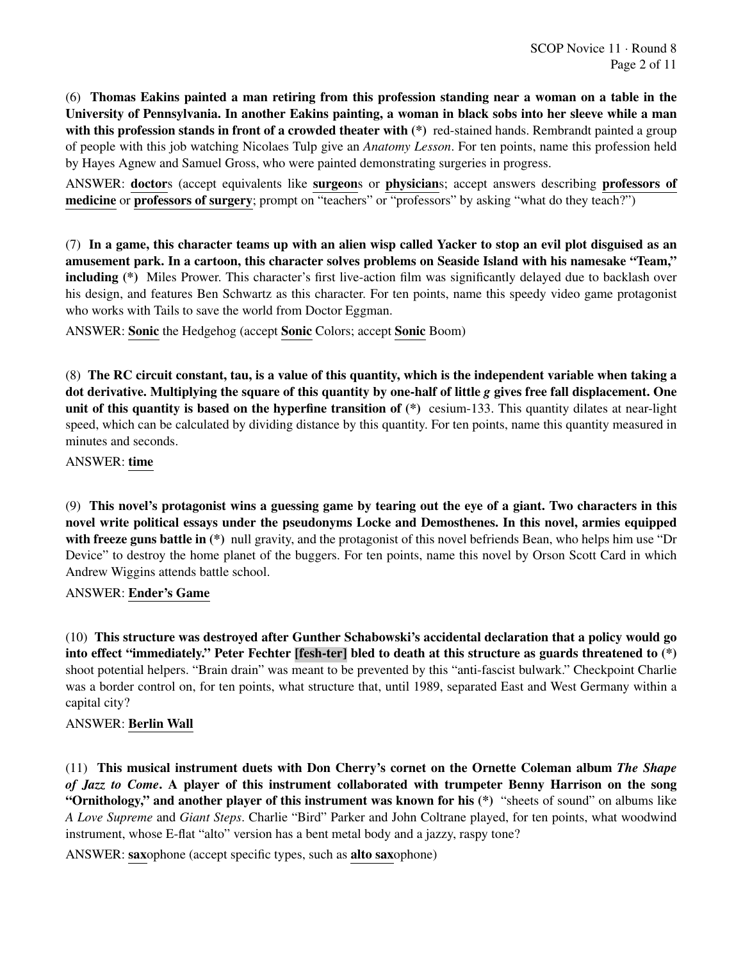(6) Thomas Eakins painted a man retiring from this profession standing near a woman on a table in the University of Pennsylvania. In another Eakins painting, a woman in black sobs into her sleeve while a man with this profession stands in front of a crowded theater with  $(*)$  red-stained hands. Rembrandt painted a group of people with this job watching Nicolaes Tulp give an *Anatomy Lesson*. For ten points, name this profession held by Hayes Agnew and Samuel Gross, who were painted demonstrating surgeries in progress.

ANSWER: doctors (accept equivalents like surgeons or physicians; accept answers describing professors of medicine or professors of surgery; prompt on "teachers" or "professors" by asking "what do they teach?")

(7) In a game, this character teams up with an alien wisp called Yacker to stop an evil plot disguised as an amusement park. In a cartoon, this character solves problems on Seaside Island with his namesake "Team," including (\*) Miles Prower. This character's first live-action film was significantly delayed due to backlash over his design, and features Ben Schwartz as this character. For ten points, name this speedy video game protagonist who works with Tails to save the world from Doctor Eggman.

ANSWER: Sonic the Hedgehog (accept Sonic Colors; accept Sonic Boom)

(8) The RC circuit constant, tau, is a value of this quantity, which is the independent variable when taking a dot derivative. Multiplying the square of this quantity by one-half of little *g* gives free fall displacement. One unit of this quantity is based on the hyperfine transition of  $(*)$  cesium-133. This quantity dilates at near-light speed, which can be calculated by dividing distance by this quantity. For ten points, name this quantity measured in minutes and seconds.

## ANSWER: time

(9) This novel's protagonist wins a guessing game by tearing out the eye of a giant. Two characters in this novel write political essays under the pseudonyms Locke and Demosthenes. In this novel, armies equipped with freeze guns battle in (\*) null gravity, and the protagonist of this novel befriends Bean, who helps him use "Dr Device" to destroy the home planet of the buggers. For ten points, name this novel by Orson Scott Card in which Andrew Wiggins attends battle school.

#### ANSWER: Ender's Game

(10) This structure was destroyed after Gunther Schabowski's accidental declaration that a policy would go into effect "immediately." Peter Fechter [fesh-ter] bled to death at this structure as guards threatened to (\*) shoot potential helpers. "Brain drain" was meant to be prevented by this "anti-fascist bulwark." Checkpoint Charlie was a border control on, for ten points, what structure that, until 1989, separated East and West Germany within a capital city?

## ANSWER: Berlin Wall

(11) This musical instrument duets with Don Cherry's cornet on the Ornette Coleman album *The Shape of Jazz to Come*. A player of this instrument collaborated with trumpeter Benny Harrison on the song "Ornithology," and another player of this instrument was known for his (\*) "sheets of sound" on albums like *A Love Supreme* and *Giant Steps*. Charlie "Bird" Parker and John Coltrane played, for ten points, what woodwind instrument, whose E-flat "alto" version has a bent metal body and a jazzy, raspy tone?

ANSWER: saxophone (accept specific types, such as alto saxophone)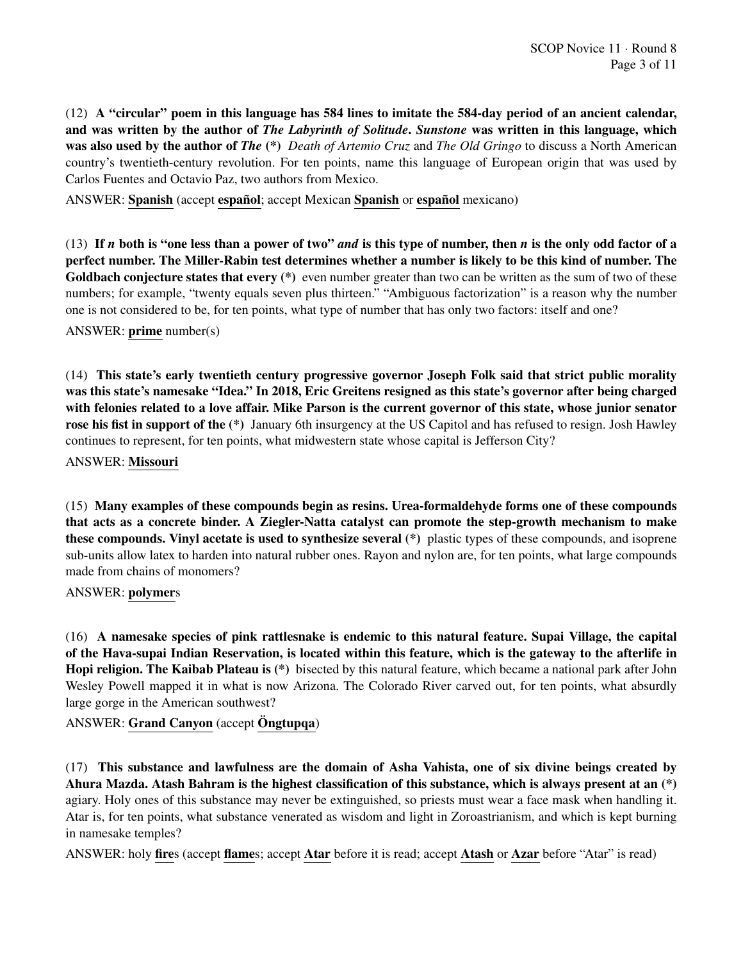(12) A "circular" poem in this language has 584 lines to imitate the 584-day period of an ancient calendar, and was written by the author of *The Labyrinth of Solitude*. *Sunstone* was written in this language, which was also used by the author of *The* (\*) *Death of Artemio Cruz* and *The Old Gringo* to discuss a North American country's twentieth-century revolution. For ten points, name this language of European origin that was used by Carlos Fuentes and Octavio Paz, two authors from Mexico.

ANSWER: Spanish (accept español; accept Mexican Spanish or español mexicano)

(13) If *n* both is "one less than a power of two" *and* is this type of number, then *n* is the only odd factor of a perfect number. The Miller-Rabin test determines whether a number is likely to be this kind of number. The Goldbach conjecture states that every (\*) even number greater than two can be written as the sum of two of these numbers; for example, "twenty equals seven plus thirteen." "Ambiguous factorization" is a reason why the number one is not considered to be, for ten points, what type of number that has only two factors: itself and one?

ANSWER: prime number(s)

(14) This state's early twentieth century progressive governor Joseph Folk said that strict public morality was this state's namesake "Idea." In 2018, Eric Greitens resigned as this state's governor after being charged with felonies related to a love affair. Mike Parson is the current governor of this state, whose junior senator rose his fist in support of the (\*) January 6th insurgency at the US Capitol and has refused to resign. Josh Hawley continues to represent, for ten points, what midwestern state whose capital is Jefferson City?

ANSWER: Missouri

(15) Many examples of these compounds begin as resins. Urea-formaldehyde forms one of these compounds that acts as a concrete binder. A Ziegler-Natta catalyst can promote the step-growth mechanism to make these compounds. Vinyl acetate is used to synthesize several (\*) plastic types of these compounds, and isoprene sub-units allow latex to harden into natural rubber ones. Rayon and nylon are, for ten points, what large compounds made from chains of monomers?

ANSWER: polymers

(16) A namesake species of pink rattlesnake is endemic to this natural feature. Supai Village, the capital of the Hava-supai Indian Reservation, is located within this feature, which is the gateway to the afterlife in Hopi religion. The Kaibab Plateau is (\*) bisected by this natural feature, which became a national park after John Wesley Powell mapped it in what is now Arizona. The Colorado River carved out, for ten points, what absurdly large gorge in the American southwest?

ANSWER: Grand Canyon (accept Ongtupqa)

(17) This substance and lawfulness are the domain of Asha Vahista, one of six divine beings created by Ahura Mazda. Atash Bahram is the highest classification of this substance, which is always present at an (\*) agiary. Holy ones of this substance may never be extinguished, so priests must wear a face mask when handling it. Atar is, for ten points, what substance venerated as wisdom and light in Zoroastrianism, and which is kept burning in namesake temples?

ANSWER: holy fires (accept flames; accept Atar before it is read; accept Atash or Azar before "Atar" is read)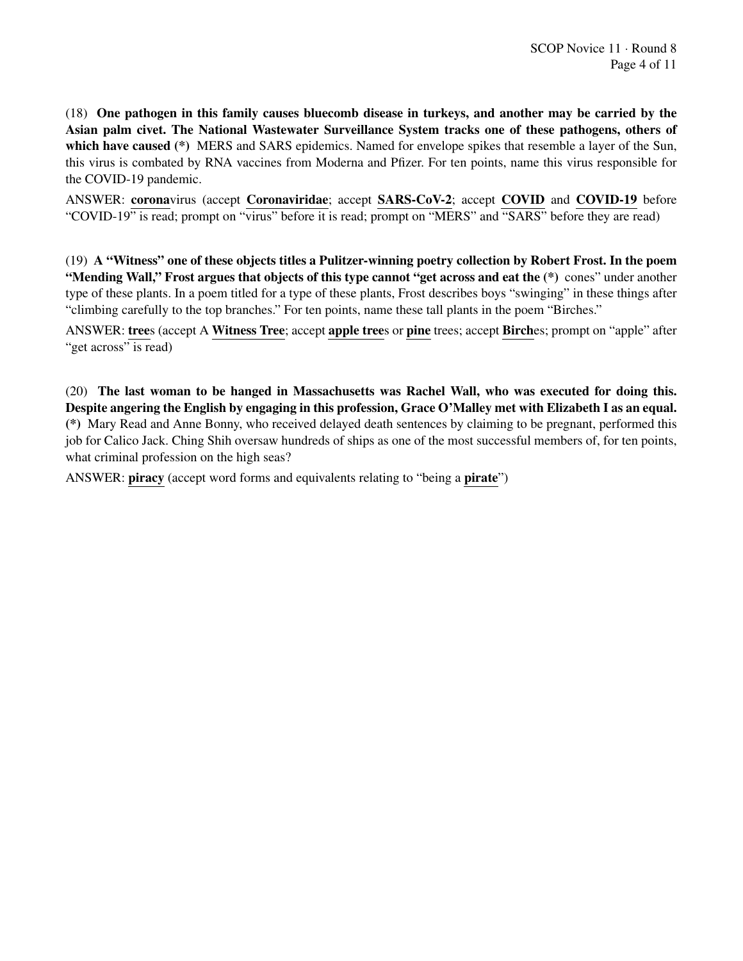(18) One pathogen in this family causes bluecomb disease in turkeys, and another may be carried by the Asian palm civet. The National Wastewater Surveillance System tracks one of these pathogens, others of which have caused (\*) MERS and SARS epidemics. Named for envelope spikes that resemble a layer of the Sun, this virus is combated by RNA vaccines from Moderna and Pfizer. For ten points, name this virus responsible for the COVID-19 pandemic.

ANSWER: coronavirus (accept Coronaviridae; accept SARS-CoV-2; accept COVID and COVID-19 before "COVID-19" is read; prompt on "virus" before it is read; prompt on "MERS" and "SARS" before they are read)

(19) A "Witness" one of these objects titles a Pulitzer-winning poetry collection by Robert Frost. In the poem "Mending Wall," Frost argues that objects of this type cannot "get across and eat the (\*) cones" under another type of these plants. In a poem titled for a type of these plants, Frost describes boys "swinging" in these things after "climbing carefully to the top branches." For ten points, name these tall plants in the poem "Birches."

ANSWER: trees (accept A Witness Tree; accept apple trees or pine trees; accept Birches; prompt on "apple" after "get across" is read)

(20) The last woman to be hanged in Massachusetts was Rachel Wall, who was executed for doing this. Despite angering the English by engaging in this profession, Grace O'Malley met with Elizabeth I as an equal. (\*) Mary Read and Anne Bonny, who received delayed death sentences by claiming to be pregnant, performed this job for Calico Jack. Ching Shih oversaw hundreds of ships as one of the most successful members of, for ten points, what criminal profession on the high seas?

ANSWER: piracy (accept word forms and equivalents relating to "being a pirate")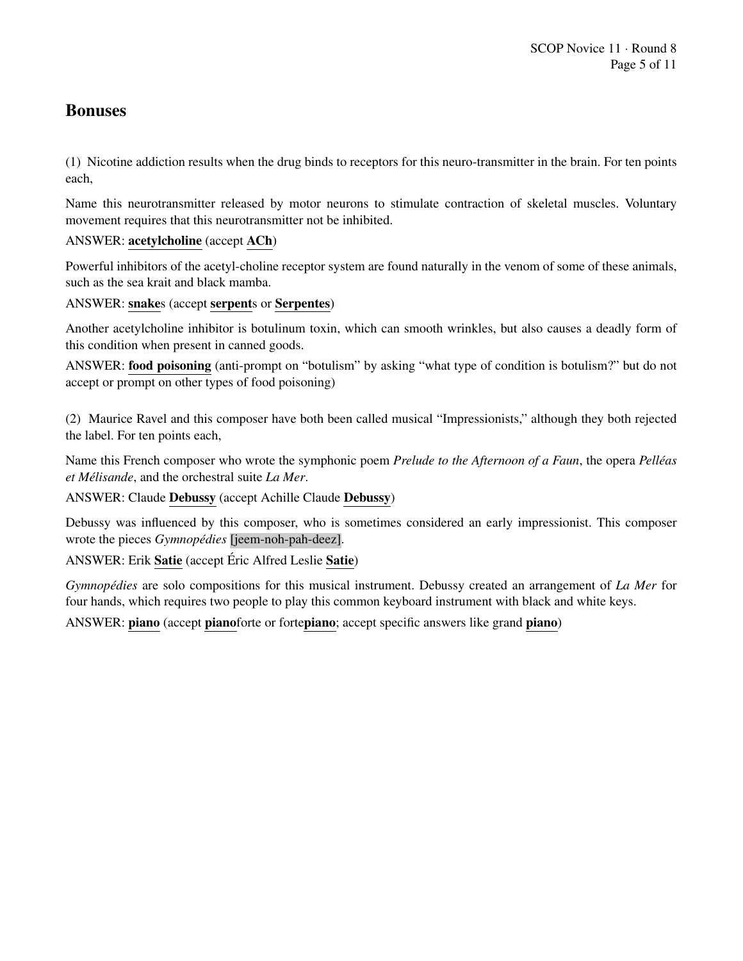## Bonuses

(1) Nicotine addiction results when the drug binds to receptors for this neuro-transmitter in the brain. For ten points each,

Name this neurotransmitter released by motor neurons to stimulate contraction of skeletal muscles. Voluntary movement requires that this neurotransmitter not be inhibited.

## ANSWER: acetylcholine (accept ACh)

Powerful inhibitors of the acetyl-choline receptor system are found naturally in the venom of some of these animals, such as the sea krait and black mamba.

## ANSWER: snakes (accept serpents or Serpentes)

Another acetylcholine inhibitor is botulinum toxin, which can smooth wrinkles, but also causes a deadly form of this condition when present in canned goods.

ANSWER: food poisoning (anti-prompt on "botulism" by asking "what type of condition is botulism?" but do not accept or prompt on other types of food poisoning)

(2) Maurice Ravel and this composer have both been called musical "Impressionists," although they both rejected the label. For ten points each,

Name this French composer who wrote the symphonic poem *Prelude to the Afternoon of a Faun*, the opera *Pelleas ´ et Melisande ´* , and the orchestral suite *La Mer*.

ANSWER: Claude Debussy (accept Achille Claude Debussy)

Debussy was influenced by this composer, who is sometimes considered an early impressionist. This composer wrote the pieces *Gymnopédies* [*jeem-noh-pah-deez*].

ANSWER: Erik Satie (accept Éric Alfred Leslie Satie)

*Gymnopédies* are solo compositions for this musical instrument. Debussy created an arrangement of *La Mer* for four hands, which requires two people to play this common keyboard instrument with black and white keys.

ANSWER: piano (accept pianoforte or fortepiano; accept specific answers like grand piano)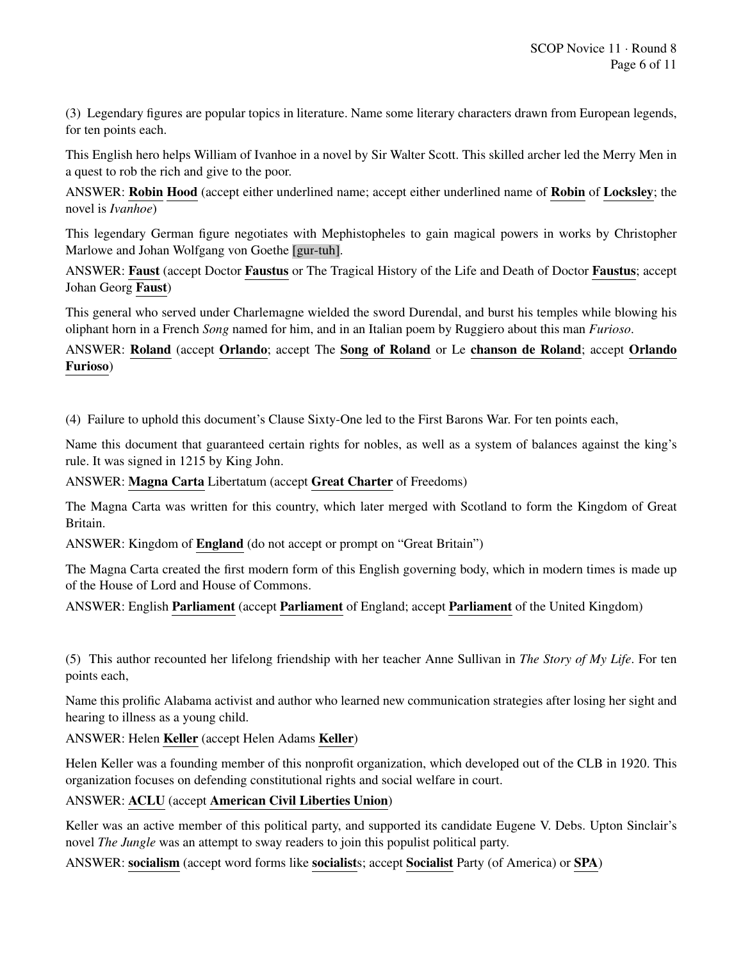(3) Legendary figures are popular topics in literature. Name some literary characters drawn from European legends, for ten points each.

This English hero helps William of Ivanhoe in a novel by Sir Walter Scott. This skilled archer led the Merry Men in a quest to rob the rich and give to the poor.

ANSWER: Robin Hood (accept either underlined name; accept either underlined name of Robin of Locksley; the novel is *Ivanhoe*)

This legendary German figure negotiates with Mephistopheles to gain magical powers in works by Christopher Marlowe and Johan Wolfgang von Goethe [gur-tuh].

ANSWER: Faust (accept Doctor Faustus or The Tragical History of the Life and Death of Doctor Faustus; accept Johan Georg Faust)

This general who served under Charlemagne wielded the sword Durendal, and burst his temples while blowing his oliphant horn in a French *Song* named for him, and in an Italian poem by Ruggiero about this man *Furioso*.

ANSWER: Roland (accept Orlando; accept The Song of Roland or Le chanson de Roland; accept Orlando Furioso)

(4) Failure to uphold this document's Clause Sixty-One led to the First Barons War. For ten points each,

Name this document that guaranteed certain rights for nobles, as well as a system of balances against the king's rule. It was signed in 1215 by King John.

ANSWER: Magna Carta Libertatum (accept Great Charter of Freedoms)

The Magna Carta was written for this country, which later merged with Scotland to form the Kingdom of Great Britain.

ANSWER: Kingdom of England (do not accept or prompt on "Great Britain")

The Magna Carta created the first modern form of this English governing body, which in modern times is made up of the House of Lord and House of Commons.

ANSWER: English Parliament (accept Parliament of England; accept Parliament of the United Kingdom)

(5) This author recounted her lifelong friendship with her teacher Anne Sullivan in *The Story of My Life*. For ten points each,

Name this prolific Alabama activist and author who learned new communication strategies after losing her sight and hearing to illness as a young child.

ANSWER: Helen Keller (accept Helen Adams Keller)

Helen Keller was a founding member of this nonprofit organization, which developed out of the CLB in 1920. This organization focuses on defending constitutional rights and social welfare in court.

## ANSWER: ACLU (accept American Civil Liberties Union)

Keller was an active member of this political party, and supported its candidate Eugene V. Debs. Upton Sinclair's novel *The Jungle* was an attempt to sway readers to join this populist political party.

ANSWER: socialism (accept word forms like socialists; accept Socialist Party (of America) or SPA)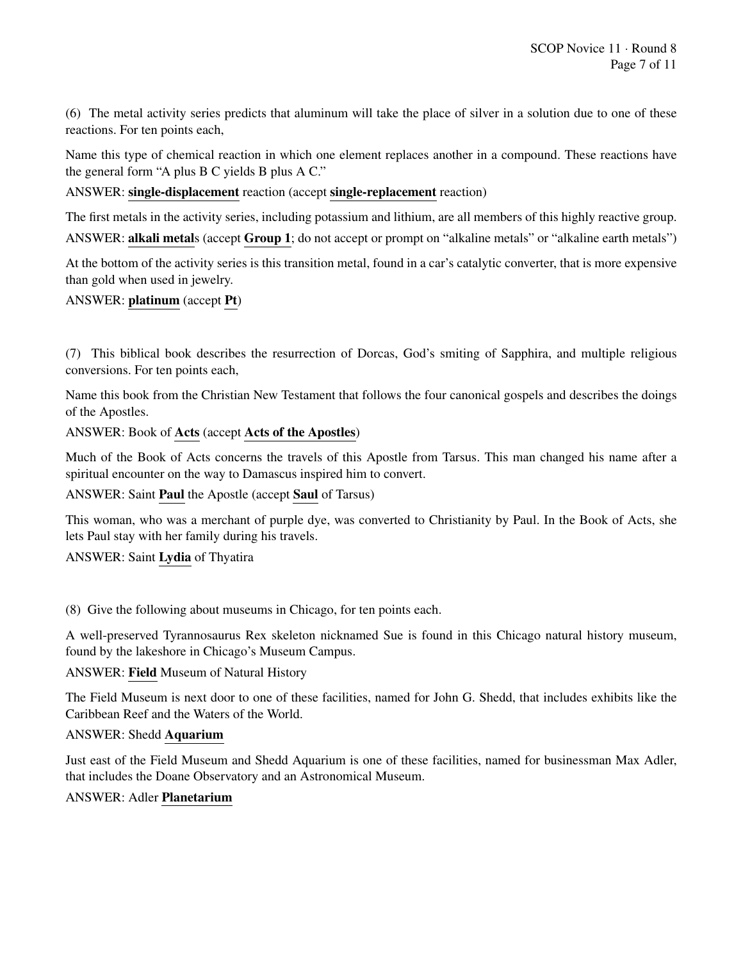(6) The metal activity series predicts that aluminum will take the place of silver in a solution due to one of these reactions. For ten points each,

Name this type of chemical reaction in which one element replaces another in a compound. These reactions have the general form "A plus B C yields B plus A C."

ANSWER: single-displacement reaction (accept single-replacement reaction)

The first metals in the activity series, including potassium and lithium, are all members of this highly reactive group. ANSWER: alkali metals (accept Group 1; do not accept or prompt on "alkaline metals" or "alkaline earth metals")

At the bottom of the activity series is this transition metal, found in a car's catalytic converter, that is more expensive than gold when used in jewelry.

## ANSWER: platinum (accept Pt)

(7) This biblical book describes the resurrection of Dorcas, God's smiting of Sapphira, and multiple religious conversions. For ten points each,

Name this book from the Christian New Testament that follows the four canonical gospels and describes the doings of the Apostles.

## ANSWER: Book of Acts (accept Acts of the Apostles)

Much of the Book of Acts concerns the travels of this Apostle from Tarsus. This man changed his name after a spiritual encounter on the way to Damascus inspired him to convert.

#### ANSWER: Saint Paul the Apostle (accept Saul of Tarsus)

This woman, who was a merchant of purple dye, was converted to Christianity by Paul. In the Book of Acts, she lets Paul stay with her family during his travels.

#### ANSWER: Saint Lydia of Thyatira

(8) Give the following about museums in Chicago, for ten points each.

A well-preserved Tyrannosaurus Rex skeleton nicknamed Sue is found in this Chicago natural history museum, found by the lakeshore in Chicago's Museum Campus.

#### ANSWER: Field Museum of Natural History

The Field Museum is next door to one of these facilities, named for John G. Shedd, that includes exhibits like the Caribbean Reef and the Waters of the World.

#### ANSWER: Shedd Aquarium

Just east of the Field Museum and Shedd Aquarium is one of these facilities, named for businessman Max Adler, that includes the Doane Observatory and an Astronomical Museum.

#### ANSWER: Adler Planetarium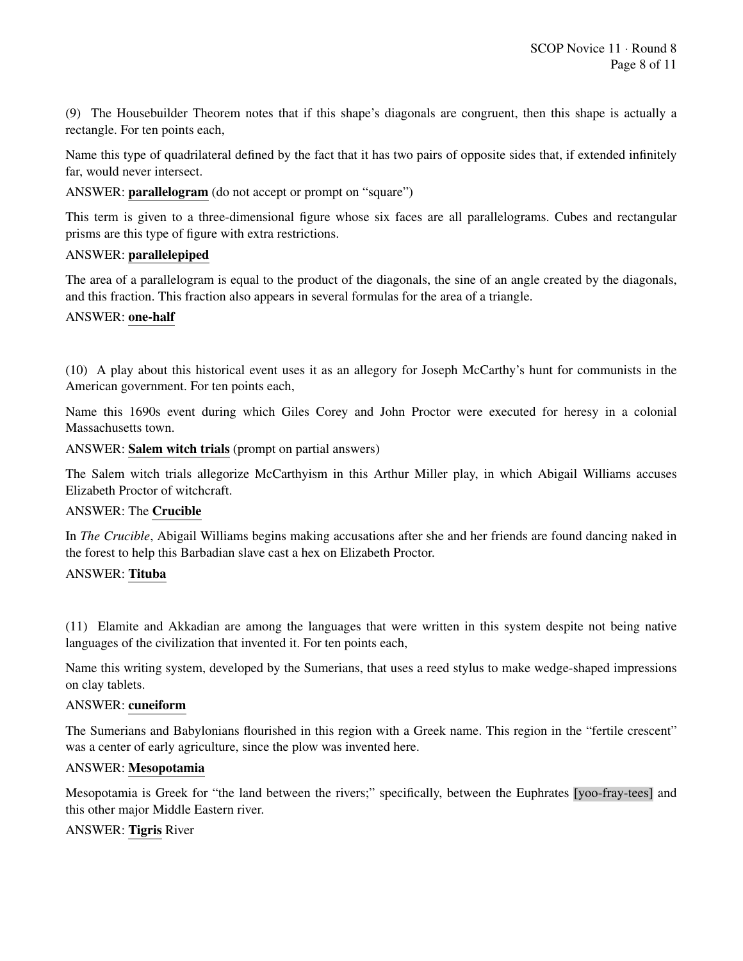(9) The Housebuilder Theorem notes that if this shape's diagonals are congruent, then this shape is actually a rectangle. For ten points each,

Name this type of quadrilateral defined by the fact that it has two pairs of opposite sides that, if extended infinitely far, would never intersect.

ANSWER: parallelogram (do not accept or prompt on "square")

This term is given to a three-dimensional figure whose six faces are all parallelograms. Cubes and rectangular prisms are this type of figure with extra restrictions.

#### ANSWER: parallelepiped

The area of a parallelogram is equal to the product of the diagonals, the sine of an angle created by the diagonals, and this fraction. This fraction also appears in several formulas for the area of a triangle.

#### ANSWER: one-half

(10) A play about this historical event uses it as an allegory for Joseph McCarthy's hunt for communists in the American government. For ten points each,

Name this 1690s event during which Giles Corey and John Proctor were executed for heresy in a colonial Massachusetts town.

ANSWER: Salem witch trials (prompt on partial answers)

The Salem witch trials allegorize McCarthyism in this Arthur Miller play, in which Abigail Williams accuses Elizabeth Proctor of witchcraft.

#### ANSWER: The Crucible

In *The Crucible*, Abigail Williams begins making accusations after she and her friends are found dancing naked in the forest to help this Barbadian slave cast a hex on Elizabeth Proctor.

#### ANSWER: Tituba

(11) Elamite and Akkadian are among the languages that were written in this system despite not being native languages of the civilization that invented it. For ten points each,

Name this writing system, developed by the Sumerians, that uses a reed stylus to make wedge-shaped impressions on clay tablets.

#### ANSWER: cuneiform

The Sumerians and Babylonians flourished in this region with a Greek name. This region in the "fertile crescent" was a center of early agriculture, since the plow was invented here.

#### ANSWER: Mesopotamia

Mesopotamia is Greek for "the land between the rivers;" specifically, between the Euphrates [yoo-fray-tees] and this other major Middle Eastern river.

#### ANSWER: Tigris River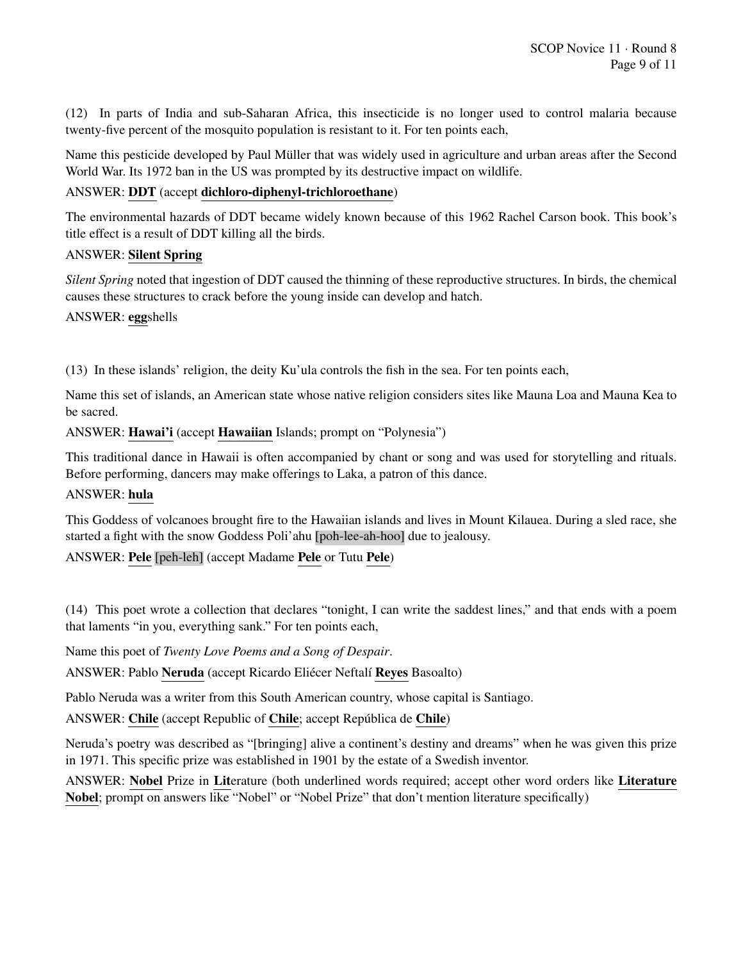(12) In parts of India and sub-Saharan Africa, this insecticide is no longer used to control malaria because twenty-five percent of the mosquito population is resistant to it. For ten points each,

Name this pesticide developed by Paul Müller that was widely used in agriculture and urban areas after the Second World War. Its 1972 ban in the US was prompted by its destructive impact on wildlife.

## ANSWER: DDT (accept dichloro-diphenyl-trichloroethane)

The environmental hazards of DDT became widely known because of this 1962 Rachel Carson book. This book's title effect is a result of DDT killing all the birds.

## ANSWER: Silent Spring

*Silent Spring* noted that ingestion of DDT caused the thinning of these reproductive structures. In birds, the chemical causes these structures to crack before the young inside can develop and hatch.

#### ANSWER: eggshells

(13) In these islands' religion, the deity Ku'ula controls the fish in the sea. For ten points each,

Name this set of islands, an American state whose native religion considers sites like Mauna Loa and Mauna Kea to be sacred.

#### ANSWER: Hawai'i (accept Hawaiian Islands; prompt on "Polynesia")

This traditional dance in Hawaii is often accompanied by chant or song and was used for storytelling and rituals. Before performing, dancers may make offerings to Laka, a patron of this dance.

#### ANSWER: hula

This Goddess of volcanoes brought fire to the Hawaiian islands and lives in Mount Kilauea. During a sled race, she started a fight with the snow Goddess Poli'ahu [poh-lee-ah-hoo] due to jealousy.

#### ANSWER: Pele [peh-leh] (accept Madame Pele or Tutu Pele)

(14) This poet wrote a collection that declares "tonight, I can write the saddest lines," and that ends with a poem that laments "in you, everything sank." For ten points each,

Name this poet of *Twenty Love Poems and a Song of Despair*.

ANSWER: Pablo Neruda (accept Ricardo Eliécer Neftalí Reyes Basoalto)

Pablo Neruda was a writer from this South American country, whose capital is Santiago.

ANSWER: Chile (accept Republic of Chile; accept República de Chile)

Neruda's poetry was described as "[bringing] alive a continent's destiny and dreams" when he was given this prize in 1971. This specific prize was established in 1901 by the estate of a Swedish inventor.

ANSWER: Nobel Prize in Literature (both underlined words required; accept other word orders like Literature Nobel; prompt on answers like "Nobel" or "Nobel Prize" that don't mention literature specifically)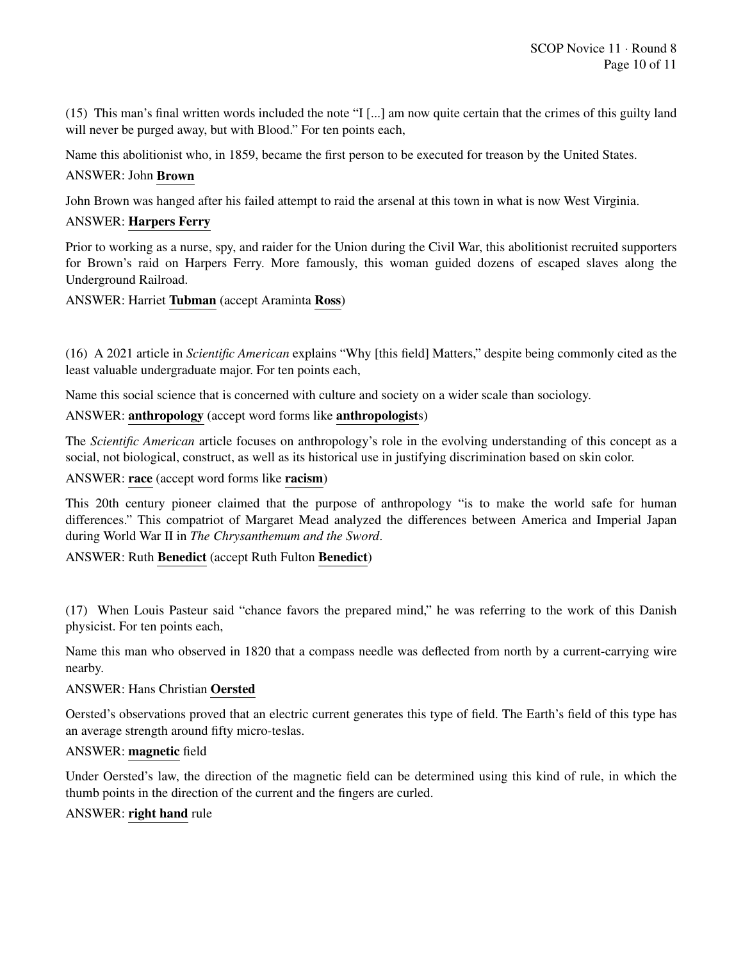(15) This man's final written words included the note "I [...] am now quite certain that the crimes of this guilty land will never be purged away, but with Blood." For ten points each,

Name this abolitionist who, in 1859, became the first person to be executed for treason by the United States.

## ANSWER: John Brown

John Brown was hanged after his failed attempt to raid the arsenal at this town in what is now West Virginia.

## ANSWER: Harpers Ferry

Prior to working as a nurse, spy, and raider for the Union during the Civil War, this abolitionist recruited supporters for Brown's raid on Harpers Ferry. More famously, this woman guided dozens of escaped slaves along the Underground Railroad.

ANSWER: Harriet Tubman (accept Araminta Ross)

(16) A 2021 article in *Scientific American* explains "Why [this field] Matters," despite being commonly cited as the least valuable undergraduate major. For ten points each,

Name this social science that is concerned with culture and society on a wider scale than sociology.

## ANSWER: anthropology (accept word forms like anthropologists)

The *Scientific American* article focuses on anthropology's role in the evolving understanding of this concept as a social, not biological, construct, as well as its historical use in justifying discrimination based on skin color.

## ANSWER: race (accept word forms like racism)

This 20th century pioneer claimed that the purpose of anthropology "is to make the world safe for human differences." This compatriot of Margaret Mead analyzed the differences between America and Imperial Japan during World War II in *The Chrysanthemum and the Sword*.

#### ANSWER: Ruth Benedict (accept Ruth Fulton Benedict)

(17) When Louis Pasteur said "chance favors the prepared mind," he was referring to the work of this Danish physicist. For ten points each,

Name this man who observed in 1820 that a compass needle was deflected from north by a current-carrying wire nearby.

#### ANSWER: Hans Christian Oersted

Oersted's observations proved that an electric current generates this type of field. The Earth's field of this type has an average strength around fifty micro-teslas.

#### ANSWER: magnetic field

Under Oersted's law, the direction of the magnetic field can be determined using this kind of rule, in which the thumb points in the direction of the current and the fingers are curled.

#### ANSWER: right hand rule